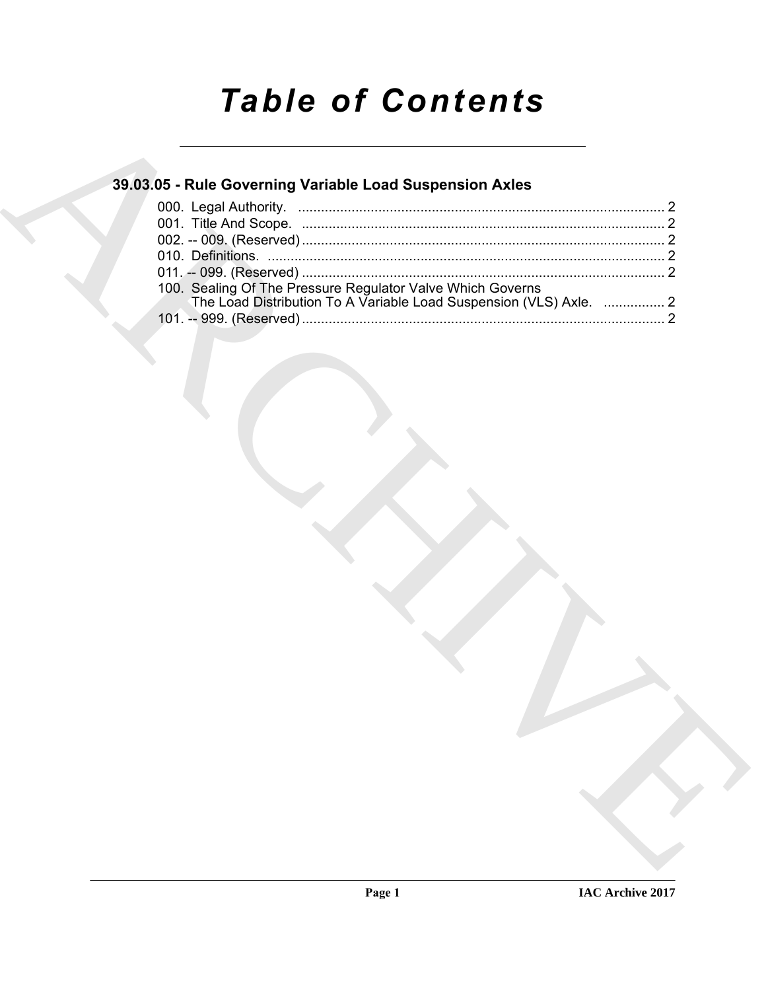# *Table of Contents*

### **39.03.05 - Rule Governing Variable Load Suspension Axles**

| 39.03.05 - Rule Governing Variable Load Suspension Axles                                                                         |  |
|----------------------------------------------------------------------------------------------------------------------------------|--|
|                                                                                                                                  |  |
|                                                                                                                                  |  |
|                                                                                                                                  |  |
|                                                                                                                                  |  |
| 100. Sealing Of The Pressure Regulator Valve Which Governs<br>The Load Distribution To A Variable Load Suspension (VLS) Axle.  2 |  |
|                                                                                                                                  |  |
|                                                                                                                                  |  |
|                                                                                                                                  |  |
|                                                                                                                                  |  |
|                                                                                                                                  |  |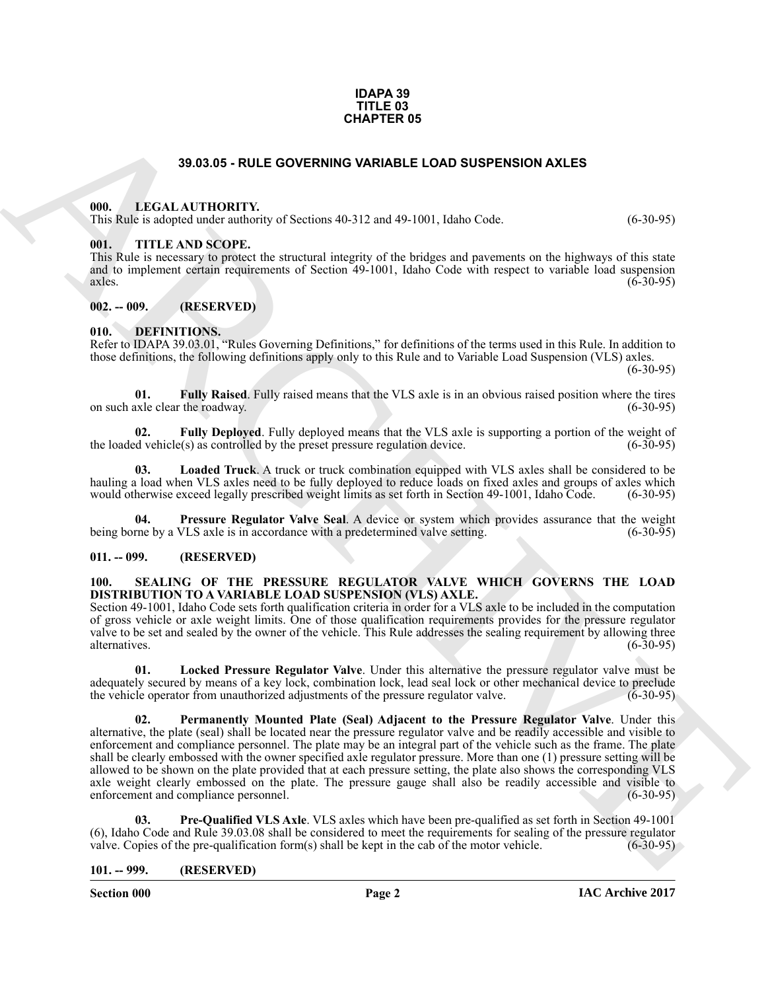#### **IDAPA 39 TITLE 03 CHAPTER 05**

#### **39.03.05 - RULE GOVERNING VARIABLE LOAD SUSPENSION AXLES**

#### <span id="page-1-1"></span><span id="page-1-0"></span>**000. LEGAL AUTHORITY.**

This Rule is adopted under authority of Sections 40-312 and 49-1001, Idaho Code. (6-30-95)

#### <span id="page-1-2"></span>**001. TITLE AND SCOPE.**

This Rule is necessary to protect the structural integrity of the bridges and pavements on the highways of this state and to implement certain requirements of Section 49-1001, Idaho Code with respect to variable load suspension axles. (6-30-95)  $\alpha$  axles.  $(6-30-95)$ 

#### <span id="page-1-3"></span>**002. -- 009. (RESERVED)**

#### <span id="page-1-8"></span><span id="page-1-4"></span>**010. DEFINITIONS.**

Refer to IDAPA 39.03.01, "Rules Governing Definitions," for definitions of the terms used in this Rule. In addition to those definitions, the following definitions apply only to this Rule and to Variable Load Suspension (VLS) axles.

 $(6-30-95)$ 

<span id="page-1-10"></span>**01. Fully Raised**. Fully raised means that the VLS axle is in an obvious raised position where the tires axle clear the roadway. (6-30-95) on such axle clear the roadway.

<span id="page-1-9"></span>**02. Fully Deployed**. Fully deployed means that the VLS axle is supporting a portion of the weight of d vehicle(s) as controlled by the preset pressure regulation device. (6-30-95) the loaded vehicle $(s)$  as controlled by the preset pressure regulation device.

<span id="page-1-11"></span>**03. Loaded Truck**. A truck or truck combination equipped with VLS axles shall be considered to be hauling a load when VLS axles need to be fully deployed to reduce loads on fixed axles and groups of axles which would otherwise exceed legally prescribed weight limits as set forth in Section 49-1001, Idaho Code. (6-30-95 would otherwise exceed legally prescribed weight limits as set forth in Section 49-1001, Idaho Code.

<span id="page-1-12"></span>**04. Pressure Regulator Valve Seal**. A device or system which provides assurance that the weight rne by a VLS axle is in accordance with a predetermined valve setting. (6-30-95) being borne by a VLS axle is in accordance with a predetermined valve setting.

#### <span id="page-1-5"></span>**011. -- 099. (RESERVED)**

#### <span id="page-1-13"></span><span id="page-1-6"></span>**100. SEALING OF THE PRESSURE REGULATOR VALVE WHICH GOVERNS THE LOAD DISTRIBUTION TO A VARIABLE LOAD SUSPENSION (VLS) AXLE.**

Section 49-1001, Idaho Code sets forth qualification criteria in order for a VLS axle to be included in the computation of gross vehicle or axle weight limits. One of those qualification requirements provides for the pressure regulator valve to be set and sealed by the owner of the vehicle. This Rule addresses the sealing requirement by allowing three alternatives. (6-30-95) alternatives. (6-30-95)

<span id="page-1-15"></span><span id="page-1-14"></span>**01. Locked Pressure Regulator Valve**. Under this alternative the pressure regulator valve must be adequately secured by means of a key lock, combination lock, lead seal lock or other mechanical device to preclude the vehicle operator from unauthorized adjustments of the pressure regulator valve. (6-30-95) the vehicle operator from unauthorized adjustments of the pressure regulator valve.

**33.03.05 - RULE GOVERNMO VARIABLE LOAD SUSPERSION AXLES<br>
(iii).** IF AN ARCHIVE COVERNMO VARIABLE LOAD SUSPERSION AXLES<br>
(iii). IF AN ARCHIVE COVERNMO VARIABLE LOAD SUSPERSION AXLES<br>
(iii). IF AN ARCHIVE COVERNMO VARIABLE **02. Permanently Mounted Plate (Seal) Adjacent to the Pressure Regulator Valve**. Under this alternative, the plate (seal) shall be located near the pressure regulator valve and be readily accessible and visible to enforcement and compliance personnel. The plate may be an integral part of the vehicle such as the frame. The plate shall be clearly embossed with the owner specified axle regulator pressure. More than one (1) pressure setting will be allowed to be shown on the plate provided that at each pressure setting, the plate also shows the corresponding VLS axle weight clearly embossed on the plate. The pressure gauge shall also be readily accessible and visible to enforcement and compliance personnel. (6-30-95)

<span id="page-1-16"></span>**03. Pre-Qualified VLS Axle**. VLS axles which have been pre-qualified as set forth in Section 49-1001 (6), Idaho Code and Rule 39.03.08 shall be considered to meet the requirements for sealing of the pressure regulator valve. Copies of the pre-qualification form $(s)$  shall be kept in the cab of the motor vehicle.

#### <span id="page-1-7"></span>**101. -- 999. (RESERVED)**

**Section 000 Page 2**